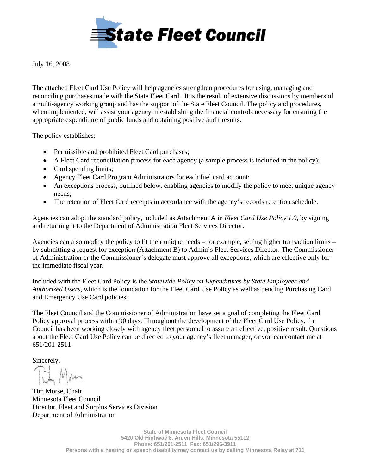

July 16, 2008

The attached Fleet Card Use Policy will help agencies strengthen procedures for using, managing and reconciling purchases made with the State Fleet Card. It is the result of extensive discussions by members of a multi-agency working group and has the support of the State Fleet Council. The policy and procedures, when implemented, will assist your agency in establishing the financial controls necessary for ensuring the appropriate expenditure of public funds and obtaining positive audit results.

The policy establishes:

- Permissible and prohibited Fleet Card purchases;
- A Fleet Card reconciliation process for each agency (a sample process is included in the policy);
- Card spending limits;
- Agency Fleet Card Program Administrators for each fuel card account;
- An exceptions process, outlined below, enabling agencies to modify the policy to meet unique agency needs;
- The retention of Fleet Card receipts in accordance with the agency's records retention schedule.

Agencies can adopt the standard policy, included as Attachment A in *Fleet Card Use Policy 1.0,* by signing and returning it to the Department of Administration Fleet Services Director.

Agencies can also modify the policy to fit their unique needs – for example, setting higher transaction limits – by submitting a request for exception (Attachment B) to Admin's Fleet Services Director. The Commissioner of Administration or the Commissioner's delegate must approve all exceptions, which are effective only for the immediate fiscal year.

Included with the Fleet Card Policy is the *Statewide Policy on Expenditures by State Employees and Authorized Users,* which is the foundation for the Fleet Card Use Policy as well as pending Purchasing Card and Emergency Use Card policies.

The Fleet Council and the Commissioner of Administration have set a goal of completing the Fleet Card Policy approval process within 90 days. Throughout the development of the Fleet Card Use Policy, the Council has been working closely with agency fleet personnel to assure an effective, positive result. Questions about the Fleet Card Use Policy can be directed to your agency's fleet manager, or you can contact me at 651/201-2511.

Sincerely,

Tich Man

Tim Morse, Chair Minnesota Fleet Council Director, Fleet and Surplus Services Division Department of Administration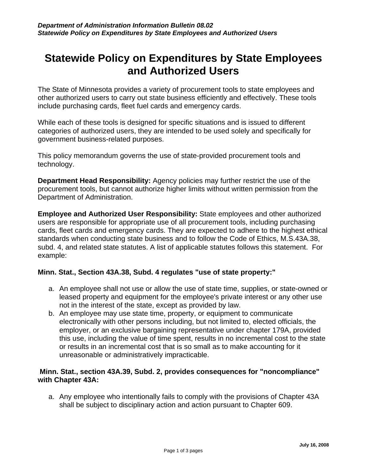# **Statewide Policy on Expenditures by State Employees and Authorized Users**

The State of Minnesota provides a variety of procurement tools to state employees and other authorized users to carry out state business efficiently and effectively. These tools include purchasing cards, fleet fuel cards and emergency cards.

While each of these tools is designed for specific situations and is issued to different categories of authorized users, they are intended to be used solely and specifically for government business-related purposes.

This policy memorandum governs the use of state-provided procurement tools and technology.

**Department Head Responsibility:** Agency policies may further restrict the use of the procurement tools, but cannot authorize higher limits without written permission from the Department of Administration.

**Employee and Authorized User Responsibility:** State employees and other authorized users are responsible for appropriate use of all procurement tools, including purchasing cards, fleet cards and emergency cards. They are expected to adhere to the highest ethical standards when conducting state business and to follow the Code of Ethics, M.S.43A.38, subd. 4, and related state statutes. A list of applicable statutes follows this statement. For example:

# **Minn. Stat., Section 43A.38, Subd. 4 regulates "use of state property:"**

- a. An employee shall not use or allow the use of state time, supplies, or state-owned or leased property and equipment for the employee's private interest or any other use not in the interest of the state, except as provided by law.
- b. An employee may use state time, property, or equipment to communicate electronically with other persons including, but not limited to, elected officials, the employer, or an exclusive bargaining representative under chapter 179A, provided this use, including the value of time spent, results in no incremental cost to the state or results in an incremental cost that is so small as to make accounting for it unreasonable or administratively impracticable.

# **Minn. Stat., section 43A.39, Subd. 2, provides consequences for "noncompliance" with Chapter 43A:**

a. Any employee who intentionally fails to comply with the provisions of Chapter 43A shall be subject to disciplinary action and action pursuant to Chapter 609.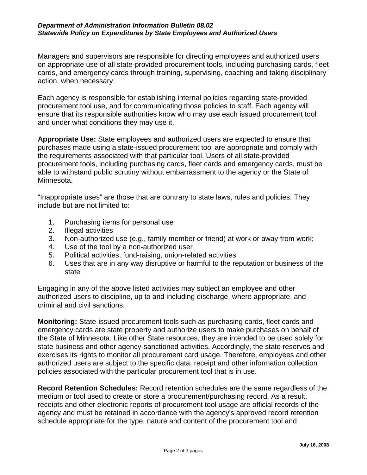### *Department of Administration Information Bulletin 08.02 Statewide Policy on Expenditures by State Employees and Authorized Users*

Managers and supervisors are responsible for directing employees and authorized users on appropriate use of all state-provided procurement tools, including purchasing cards, fleet cards, and emergency cards through training, supervising, coaching and taking disciplinary action, when necessary.

Each agency is responsible for establishing internal policies regarding state-provided procurement tool use, and for communicating those policies to staff. Each agency will ensure that its responsible authorities know who may use each issued procurement tool and under what conditions they may use it.

**Appropriate Use:** State employees and authorized users are expected to ensure that purchases made using a state-issued procurement tool are appropriate and comply with the requirements associated with that particular tool. Users of all state-provided procurement tools, including purchasing cards, fleet cards and emergency cards, must be able to withstand public scrutiny without embarrassment to the agency or the State of Minnesota.

"Inappropriate uses" are those that are contrary to state laws, rules and policies. They include but are not limited to:

- 1. Purchasing items for personal use
- 2. Illegal activities
- 3. Non-authorized use (e.g., family member or friend) at work or away from work;
- 4. Use of the tool by a non-authorized user
- 5. Political activities, fund-raising, union-related activities
- 6. Uses that are in any way disruptive or harmful to the reputation or business of the state

Engaging in any of the above listed activities may subject an employee and other authorized users to discipline, up to and including discharge, where appropriate, and criminal and civil sanctions.

**Monitoring:** State-issued procurement tools such as purchasing cards, fleet cards and emergency cards are state property and authorize users to make purchases on behalf of the State of Minnesota. Like other State resources, they are intended to be used solely for state business and other agency-sanctioned activities. Accordingly, the state reserves and exercises its rights to monitor all procurement card usage. Therefore, employees and other authorized users are subject to the specific data, receipt and other information collection policies associated with the particular procurement tool that is in use.

**Record Retention Schedules:** Record retention schedules are the same regardless of the medium or tool used to create or store a procurement/purchasing record. As a result, receipts and other electronic reports of procurement tool usage are official records of the agency and must be retained in accordance with the agency's approved record retention schedule appropriate for the type, nature and content of the procurement tool and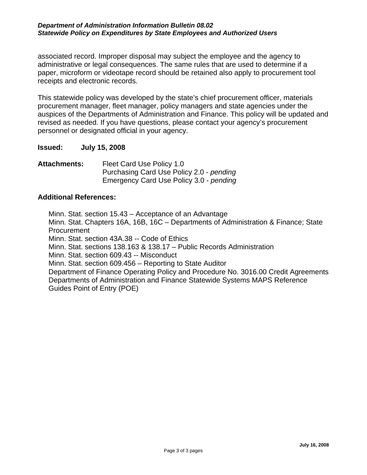## *Department of Administration Information Bulletin 08.02 Statewide Policy on Expenditures by State Employees and Authorized Users*

associated record. Improper disposal may subject the employee and the agency to administrative or legal consequences. The same rules that are used to determine if a paper, microform or videotape record should be retained also apply to procurement tool receipts and electronic records.

This statewide policy was developed by the state's chief procurement officer, materials procurement manager, fleet manager, policy managers and state agencies under the auspices of the Departments of Administration and Finance. This policy will be updated and revised as needed. If you have questions, please contact your agency's procurement personnel or designated official in your agency.

**Issued: July 15, 2008** 

**Attachments:** Fleet Card Use Policy 1.0 Purchasing Card Use Policy 2.0 - *pending*  Emergency Card Use Policy 3.0 - *pending*

# **Additional References:**

Minn. Stat. section 15.43 – Acceptance of an Advantage Minn. Stat. Chapters 16A, 16B, 16C – Departments of Administration & Finance; State Procurement Minn. Stat. section 43A.38 -- Code of Ethics Minn. Stat. sections 138.163 & 138.17 – Public Records Administration Minn. Stat. section 609.43 -- Misconduct Minn. Stat. section 609.456 – Reporting to State Auditor Department of Finance Operating Policy and Procedure No. 3016.00 Credit Agreements Departments of Administration and Finance Statewide Systems MAPS Reference Guides Point of Entry (POE)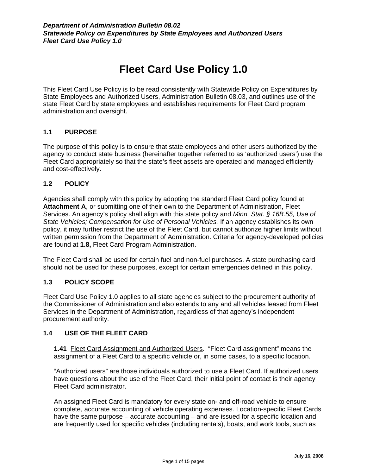# **Fleet Card Use Policy 1.0**

This Fleet Card Use Policy is to be read consistently with Statewide Policy on Expenditures by State Employees and Authorized Users, Administration Bulletin 08.03, and outlines use of the state Fleet Card by state employees and establishes requirements for Fleet Card program administration and oversight.

# **1.1 PURPOSE**

The purpose of this policy is to ensure that state employees and other users authorized by the agency to conduct state business (hereinafter together referred to as 'authorized users') use the Fleet Card appropriately so that the state's fleet assets are operated and managed efficiently and cost-effectively.

# **1.2 POLICY**

Agencies shall comply with this policy by adopting the standard Fleet Card policy found at **Attachment A**, or submitting one of their own to the Department of Administration, Fleet Services. An agency's policy shall align with this state policy and *Minn. Stat. § 16B.55, Use of State Vehicles; Compensation for Use of Personal Vehicles.* If an agency establishes its own policy, it may further restrict the use of the Fleet Card, but cannot authorize higher limits without written permission from the Department of Administration. Criteria for agency-developed policies are found at **1.8,** Fleet Card Program Administration.

The Fleet Card shall be used for certain fuel and non-fuel purchases. A state purchasing card should not be used for these purposes, except for certain emergencies defined in this policy.

# **1.3 POLICY SCOPE**

Fleet Card Use Policy 1.0 applies to all state agencies subject to the procurement authority of the Commissioner of Administration and also extends to any and all vehicles leased from Fleet Services in the Department of Administration, regardless of that agency's independent procurement authority.

# **1.4 USE OF THE FLEET CARD**

**1.41** Fleet Card Assignment and Authorized Users. "Fleet Card assignment" means the assignment of a Fleet Card to a specific vehicle or, in some cases, to a specific location.

"Authorized users" are those individuals authorized to use a Fleet Card. If authorized users have questions about the use of the Fleet Card, their initial point of contact is their agency Fleet Card administrator.

An assigned Fleet Card is mandatory for every state on- and off-road vehicle to ensure complete, accurate accounting of vehicle operating expenses. Location-specific Fleet Cards have the same purpose – accurate accounting – and are issued for a specific location and are frequently used for specific vehicles (including rentals), boats, and work tools, such as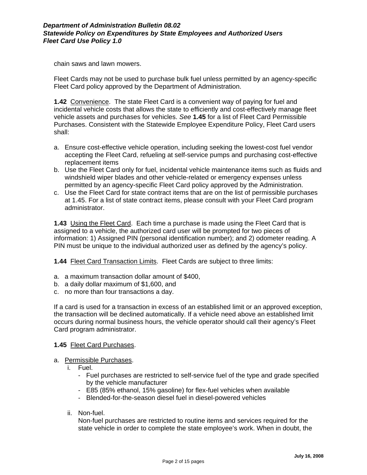chain saws and lawn mowers.

Fleet Cards may not be used to purchase bulk fuel unless permitted by an agency-specific Fleet Card policy approved by the Department of Administration.

**1.42** Convenience. The state Fleet Card is a convenient way of paying for fuel and incidental vehicle costs that allows the state to efficiently and cost-effectively manage fleet vehicle assets and purchases for vehicles. *See* **1.45** for a list of Fleet Card Permissible Purchases. Consistent with the Statewide Employee Expenditure Policy, Fleet Card users shall:

- a. Ensure cost-effective vehicle operation, including seeking the lowest-cost fuel vendor accepting the Fleet Card, refueling at self-service pumps and purchasing cost-effective replacement items
- b. Use the Fleet Card only for fuel, incidental vehicle maintenance items such as fluids and windshield wiper blades and other vehicle-related or emergency expenses unless permitted by an agency-specific Fleet Card policy approved by the Administration.
- c. Use the Fleet Card for state contract items that are on the list of permissible purchases at 1.45. For a list of state contract items, please consult with your Fleet Card program administrator.

**1.43** Using the Fleet Card.Each time a purchase is made using the Fleet Card that is assigned to a vehicle, the authorized card user will be prompted for two pieces of information: 1) Assigned PIN (personal identification number); and 2) odometer reading. A PIN must be unique to the individual authorized user as defined by the agency's policy.

**1.44** Fleet Card Transaction Limits. Fleet Cards are subject to three limits:

- a. a maximum transaction dollar amount of \$400,
- b. a daily dollar maximum of \$1,600, and
- c. no more than four transactions a day.

If a card is used for a transaction in excess of an established limit or an approved exception, the transaction will be declined automatically. If a vehicle need above an established limit occurs during normal business hours, the vehicle operator should call their agency's Fleet Card program administrator.

#### **1.45** Fleet Card Purchases.

- a. Permissible Purchases.
	- i. Fuel.
		- Fuel purchases are restricted to self-service fuel of the type and grade specified by the vehicle manufacturer
		- E85 (85% ethanol, 15% gasoline) for flex-fuel vehicles when available
		- Blended-for-the-season diesel fuel in diesel-powered vehicles
	- ii. Non-fuel.

Non-fuel purchases are restricted to routine items and services required for the state vehicle in order to complete the state employee's work. When in doubt, the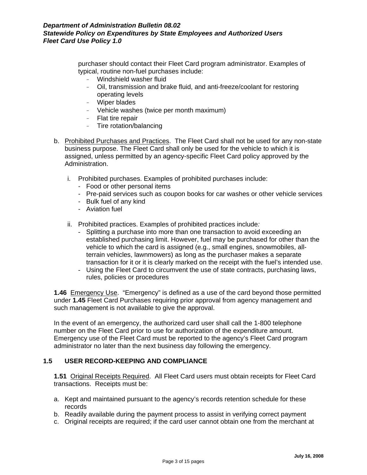purchaser should contact their Fleet Card program administrator. Examples of typical, routine non-fuel purchases include:

- Windshield washer fluid
- Oil, transmission and brake fluid, and anti-freeze/coolant for restoring operating levels
- Wiper blades
- Vehicle washes (twice per month maximum)
- Flat tire repair
- Tire rotation/balancing
- b. Prohibited Purchases and Practices. The Fleet Card shall not be used for any non-state business purpose. The Fleet Card shall only be used for the vehicle to which it is assigned, unless permitted by an agency-specific Fleet Card policy approved by the Administration.
	- i. Prohibited purchases. Examples of prohibited purchases include:
		- Food or other personal items
		- Pre-paid services such as coupon books for car washes or other vehicle services
		- Bulk fuel of any kind
		- Aviation fuel
	- ii. Prohibited practices. Examples of prohibited practices include:
		- Splitting a purchase into more than one transaction to avoid exceeding an established purchasing limit. However, fuel may be purchased for other than the vehicle to which the card is assigned (e.g., small engines, snowmobiles, alltransaction for it or it is clearly marked on the receipt with the fuel's intended use. terrain vehicles, lawnmowers) as long as the purchaser makes a separate
		- Using the Fleet Card to circumvent the use of state contracts, purchasing laws, rules, policies or procedures

**1.46** Eme rgency Use. "Emergency" is defined as a use of the card beyond those permitted under **1.45** Fleet Card Purchases requiring prior approval from agency management and such management is not available to give the approval.

In the event of an emergency, the authorized card user shall call the 1-800 telephone number on the Fleet Card prior to use for authorization of the expenditure amount. Emergency use of the Fleet Card must be reported to the agency's Fleet Card program administrator no later than the next business day following the emergency.

#### **1.5 USER RECORD-KEEPING AND COMPLIANCE**

**1.51** Original Receipts Required. All Fleet Card users must obtain receipts for Fleet Card transactions. Receipts must be:

- a. Kept and maintained pursuant to the agency's records retention schedule for these records
- b. Readily available during the payment process to assist in verifying correct payment
- c. Original receipts are required; if the card user cannot obtain one from the merchant at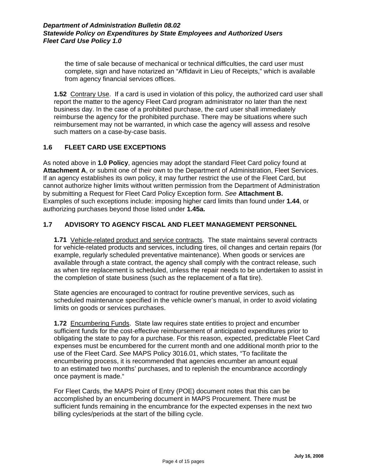the time of sale because of mechanical or technical difficulties, the card user must complete, sign and have notarized an "Affidavit in Lieu of Receipts," which is available from agency financial services offices.

**1.52** Contrary Use. If a card is used in violation of this policy, the authorized card user shall report the matter to the agency Fleet Card program administrator no later than the next reimbursement may not be warranted, in which case the agency will assess and resolve business day. In the case of a prohibited purchase, the card user shall immediately reimburse the agency for the prohibited purchase. There may be situations where such such matters on a case-by-case basis.

#### **1.6 FLEET CARD USE EXCEPTIONS**

As noted above in 1.0 Policy, agencies may adopt the standard Fleet Card policy found at Attachment A, or submit one of their own to the Department of Administration, Fleet Services. If an agency establishes its own policy, it may further restrict the use of the Fleet Card, but cannot authorize higher limits without written permission from the Department of Administration by submitting a Request for Fleet Card Policy Exception form. *See* **Attachment B.**  Examples of such exceptions include: imposing higher card limits than found under **1.44**, or authorizing purchases beyond those listed under **1.45a.**

# 1.7 ADVISORY TO AGENCY FISCAL AND FLEET MANAGEMENT PERSONNEL

**1.71** Vehicle-related product and service contracts. The state maintains several contracts for vehicle-related products and services, including tires, oil changes and certain repairs (for as when tire replacement is scheduled, unless the repair needs to be undertaken to assist in example, regularly scheduled preventative maintenance). When goods or services are available through a state contract, the agency shall comply with the contract release, such the completion of state business (such as the replacement of a flat tire).

State agencies are encouraged to contract for routine preventive services, such as scheduled maintenance specified in the vehicle owner's manual, in order to avoid violating limits on goods or services purchases.

**1.72** Encumbering Funds. State law requires state entities to project and encumber sufficient funds for the cost-effective reimbursement of anticipated expenditures prior to obligating the state to pay for a purchase. For this reason, expected, predictable Fleet Card expenses must be encumbered for the current month and one additional month prior to the to an estimated two months' purchases, and to replenish the encumbrance accordingly use of the Fleet Card. *See* MAPS Policy 3016.01, which states, "To facilitate the encumbering process, it is recommended that agencies encumber an amount equal once payment is made."

For Fleet Cards, the MAPS Point of Entry (POE) document notes that this can be accomplished by an encumbering document in MAPS Procurement. There must be sufficient funds remaining in the encumbrance for the expected expenses in the next two billing cycles/periods at the start of the billing cycle.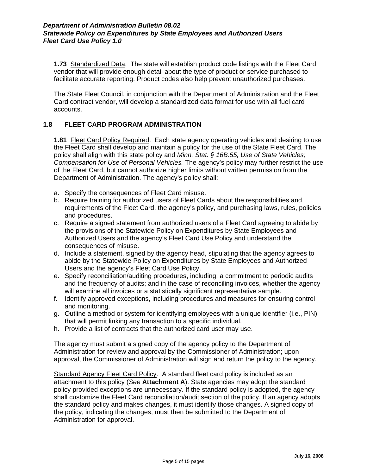**1.73** Standardized Data. The state will establish product code listings with the Fleet Card vendor that will provide enough detail about the type of product or service purchased to facilitate accurate reporting. Product codes also help prevent unauthorized purchases.

The State Fleet Council, in conjunction with the Department of Administration and the Fleet Card contract vendor, will develop a standardized data format for use with all fuel card accounts.

# 1.8 **FLEET CARD PROGRAM ADMINISTRATION**

**1.81** Fleet Card Policy Required. Each state agency operating vehicles and desiring to use the Fleet Card shall develop and maintain a policy for the use of the State Fleet Card. The Compensation for Use of Personal Vehicles. The agency's policy may further restrict the use policy shall align with this state policy and *Minn. Stat. § 16B.55, Use of State Vehicles;*  of the Fleet Card, but cannot authorize higher limits without written permission from the Department of Administration. The agency's policy shall:

- a. Specify the consequences of Fleet Card misuse.
- b. Require training for authorized users of Fleet Cards about the responsibilities and requirements of the Fleet Card, the agency's policy, and purchasing laws, rules, policies and procedures.
- c. Require a signed statement from authorized users of a Fleet Card agreeing to abide by the provisions of the Statewide Policy on Expenditures by State Employees and Authorized Users and the agency's Fleet Card Use Policy and understand the consequences of misuse.
- d. Include a statement, signed by the agency head, stipulating that the agency agrees to abide by the Statewide Policy on Expenditures by State Employees and Authorized Users and the agency's Fleet Card Use Policy.
- e. Specify reconciliation/auditing procedures, including: a commitment to periodic audits and the frequency of audits; and in the case of reconciling invoices, whether the agency will examine all invoices or a statistically significant representative sample.
- f. Identify approved exceptions, including procedures and measures for ensuring control and monitoring.
- that will permit linking any transaction to a specific individual. g. Outline a method or system for identifying employees with a unique identifier (i.e., PIN)
- h. Provide a list of contracts that the authorized card user may use.

The agency must submit a signed copy of the agency policy to the Department of Administration for review and approval by the Commissioner of Administration; upon approval, the Commissioner of Administration will sign and return the policy to the agency.

Standard Agency Fleet Card Policy. A standard fleet card policy is included as an attachment to this policy (*See* **Attachment A**). State agencies may adopt the standard policy provided exceptions are unnecessary. If the standard policy is adopted, the agency shall customize the Fleet Card reconciliation/audit section of the policy. If an agency adopts the standard policy and makes changes, it must identify those changes. A signed copy of the policy, indicating the changes, must then be submitted to the Department of Administration for approval.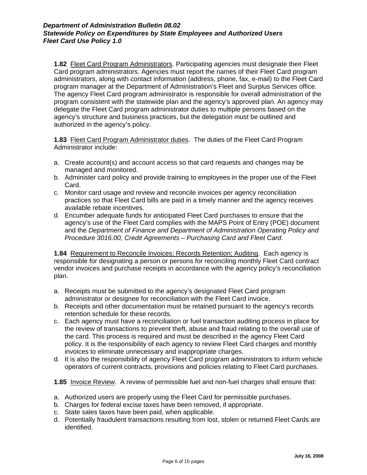**1.82** Fleet Card Program Administrators. Participating agencies must designate their Fleet Card program administrators. Agencies must report the names of their Fleet Card program program consistent with the statewide plan and the agency's approved plan. An agency may administrators, along with contact information (address, phone, fax, e-mail) to the Fleet Card program manager at the Department of Administration's Fleet and Surplus Services office. The agency Fleet Card program administrator is responsible for overall administration of the delegate the Fleet Card program administrator duties to multiple persons based on the agency's structure and business practices, but the delegation must be outlined and authorized in the agency's policy.

1.83 Fleet Card Program Administrator duties. The duties of the Fleet Card Program Administrator include:

- a. Create account(s) and account access so that card requests and changes may be managed and monitored.
- b. Administer card policy and provide training to employees in the proper use of the Fleet Card.
- practices so that Fleet Card bills are paid in a timely manner and the agency receives c. Monitor card usage and review and reconcile invoices per agency reconciliation available rebate incentives.
- d. Encumber adequate funds for anticipated Fleet Card purchases to ensure that the agency's use of the Fleet Card complies with the MAPS Point of Entry (POE) document and the *Department of Finance and Department of Administration Operating Policy and Procedure 3016.00, Credit Agreements – Purchasing Card and Fleet Card*.

**1.84** Requirement to Reconcile Invoices; Records Retention; Auditing.Each agency is responsible for designating a person or persons for reconciling monthly Fleet Card contract vendor invoices and purchase receipts in accordance with the agency policy's reconciliation plan.

- a. Receipts must be submitted to the agency's designated Fleet Card program administrator or designee for reconciliation with the Fleet Card invoice.
- b. Receipts and other documentation must be retained pursuant to the agency's records retention schedule for these records.
- the review of transactions to prevent theft, abuse and fraud relating to the overall use of c. Each agency must have a reconciliation or fuel transaction auditing process in place for the card. This process is required and must be described in the agency Fleet Card policy. It is the responsibility of each agency to review Fleet Card charges and monthly invoices to eliminate unnecessary and inappropriate charges.
- d. It is also the responsibility of agency Fleet Card program administrators to inform vehicle operators of current contracts, provisions and policies relating to Fleet Card purchases.

**1.8 5** Invoice Review. A review of permissible fuel and non-fuel charges shall ensure that:

- a. Authorized users are properly using the Fleet Card for permissible purchases.
- b. Charges for federal excise taxes have been removed, if appropriate.
- c. State sales taxes have been paid, when applicable.
- d. Potentially fraudulent transactions resulting from lost, stolen or returned Fleet Cards are identified.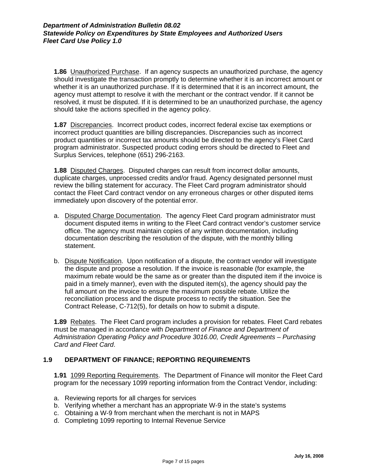**1.86** Unauthorized Purchase. If an agency suspects an unauthorized purchase, the agency should investigate the transaction promptly to determine whether it is an incorrect amount or whether it is an unauthorized purchase. If it is determined that it is an incorrect amount, the agency must attempt to resolve it with the merchant or the contract vendor. If it cannot be resolved, it must be disputed. If it is determined to be an unauthorized purchase, the agency should take the actions specified in the agency policy.

**1.87** Discrepancies. Incorrect product codes, incorrect federal excise tax exemptions or incorrect product quantities are billing discrepancies. Discrepancies such as incorrect program administrator. Suspected product coding errors should be directed to Fleet and product quantities or incorrect tax amounts should be directed to the agency's Fleet Card Surplus Services, telephone (651) 296-2163.

**1.88** Disputed Charges. Disputed charges can result from incorrect dollar amounts, duplicate charges, unprocessed credits and/or fraud. Agency designated personnel must review the billing statement for accuracy. The Fleet Card program administrator should contact the Fleet Card contract vendor on any erroneous charges or other disputed items immediately upon discovery of the potential error.

- a. Disputed Charge Documentation. The agency Fleet Card program administrator must document disputed items in writing to the Fleet Card contract vendor's customer service office. The agency must maintain copies of any written documentation, including documentation describing the resolution of the dispute, with the monthly billing statement.
- b. Dispute Notification. Upon notification of a dispute, the contract vendor will investigate the dispute and propose a resolution. If the invoice is reasonable (for example, the maximum rebate would be the same as or greater than the disputed item if the invoice is paid in a timely manner), even with the disputed item(s), the agency should pay the full amount on the invoice to ensure the maximum possible rebate. Utilize the reconciliation process and the dispute process to rectify the situation. See the Contract Release, C-712(5), for details on how to submit a dispute.

**1.89** Rebates. The Fleet Card program includes a provision for rebates. Fleet Card rebates must be managed in accordance with *Department of Finance and Department of Administration Operating Policy and Procedure 3016.00, Credit Agreements – Purchasing Card and Fleet Card*.

# **1.9 DEPARTMENT OF FINANCE; REPORTING REQUIREMENTS**

**1.91** 1099 Reporting Requirements. The Department of Finance will monitor the Fleet Card program for the necessary 1099 reporting information from the Contract Vendor, including:

- a. Reviewing reports for all charges for services
- b. Verifying whether a merchant has an appropriate W-9 in the state's systems
- c. Obtaining a W-9 from merchant when the merchant is not in MAPS
- d. Completing 1099 reporting to Internal Revenue Service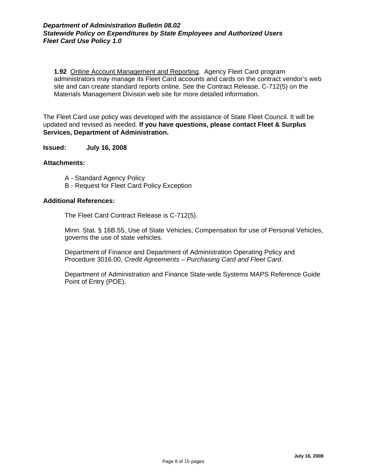**1.92** Online Account Management and Reporting. Agency Fleet Card program administrators may manage its Fleet Card accounts and cards on the contract vendor's web site and can create standard reports online. See the Contract Release, C-712(5) on the Materials Management Division web site for more detailed information.

The Fleet Card use policy was developed with the assistance of State Fleet Council. It will be pdated and revised as needed. **If you have questions, please contact Fleet & Surplus**  u **Services, Department of Administration.**

**Issued: July 16, 2008**

#### **Attachments:**

- A Standard Agency Policy
- B Request for Fleet Card Policy Exception

#### **Additio nal References:**

The Fleet Card Contract Release is C-712(5).

Minn. Stat. § 16B.55, Use of State Vehicles; Compensation for use of Personal Vehicles, governs the use of state vehicles.

Department of Finance and Department of Administration Operating Policy and rocedure 3016.00, *Credit Agreements – Purchasing Card and Fleet Card*. P

Department of Administration and Finance State-wide Systems MAPS Reference Guide Point of Entry (POE).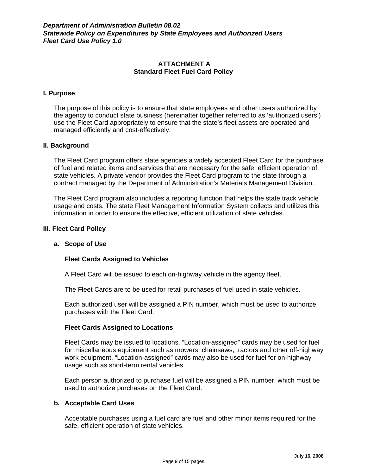## **ATTACHMENT A Standard Fleet Fuel Card Policy**

#### **I. Purpose**

The purpose of this policy is to ensure that state employees and other users authorized by the agency to conduct state business (hereinafter together referred to as 'authorized users') use the Fleet Card appropriately to ensure that the state's fleet assets are operated and managed efficiently and cost-effectively.

#### **II. Background**

The Fleet Card program offers state agencies a widely accepted Fleet Card for the purchase of fuel and related items and services that are necessary for the safe, efficient operation of state vehicles. A private vendor provides the Fleet Card program to the state through a contract managed by the Department of Administration's Materials Management Division.

The Fleet Card program also includes a reporting function that helps the state track vehicle usage and costs. The state Fleet Management Information System collects and utilizes this information in order to ensure the effective, efficient utilization of state vehicles.

#### **III. Fleet Card Policy**

#### **a. Scope of Use**

#### **Fleet Cards Assigned to Vehicles**

A Fleet Card will be issued to each on-highway vehicle in the agency fleet.

The Fleet Cards are to be used for retail purchases of fuel used in state vehicles.

Each authorized user will be assigned a PIN number, which must be used to authorize purchases with the Fleet Card.

#### **Fleet Cards Assigned to Locations**

Fleet Cards may be issued to locations. "Location-assigned" cards may be used for fuel for miscellaneous equipment such as mowers, chainsaws, tractors and other off-highway work equipment. "Location-assigned" cards may also be used for fuel for on-highway usage such as short-term rental vehicles.

Each person authorized to purchase fuel will be assigned a PIN number, which must be used to authorize purchases on the Fleet Card.

#### **b. Acceptable Card Uses**

Acceptable purchases using a fuel card are fuel and other minor items required for the safe, efficient operation of state vehicles.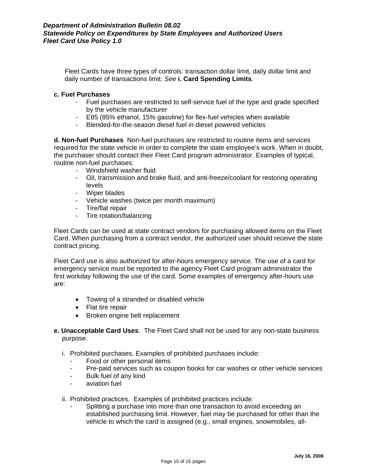Fleet Cards have three types of controls: transaction dollar limit, daily dollar limit and daily number of transactions limit. *See* **i. Card Spending Limits**.

#### **c. Fuel Purchases**

- Fuel purchases are restricted to self-service fuel of the type and grade specified by the vehicle manufacturer
- E85 (85% ethanol, 15% gasoline) for flex-fuel vehicles when available
- Blended-for-the-season diesel fuel in diesel powered vehicles

**d. Non-fuel Purchases** Non-fuel purchases are restricted to routine items and services required for the state vehicle in order to complete the state employee's work. When in doubt, the purchaser should contact their Fleet Card program administrator. Examples of typical, routine non-fuel purchases:

- Windshield washer fluid
- Oil, transmission and brake fluid, and anti-freeze/coolant for restoring operating levels
- Wiper blades
- Vehicle washes (twice per month maximum)
- Tire/flat repair
- Tire rotation/balancing

Fleet Cards can be used at state contract vendors for purchasing allowed items on the Fleet Card. When purchasing from a contract vendor, the authorized user should receive the state contract pricing.

Fleet Card use is also authorized for after-hours emergency service. The use of a card for emergency service must be reported to the agency Fleet Card program administrator the first workday following the use of the card. Some examples of emergency after-hours use are:

- Towing of a stranded or disabled vehicle
- Flat tire repair
- Broken engine belt replacement
- **e. Unacceptable Card Uses**. The Fleet Card shall not be used for any non-state business purpose.
	- i. Prohibited purchases. Examples of prohibited purchases include:
		- Food or other personal items
		- Pre-paid services such as coupon books for car washes or other vehicle services
		- Bulk fuel of any kind
		- aviation fuel
	- ii. Prohibited practices. Examples of prohibited practices include*:* 
		- Splitting a purchase into more than one transaction to avoid exceeding an established purchasing limit. However, fuel may be purchased for other than the vehicle to which the card is assigned (e.g., small engines, snowmobiles, all-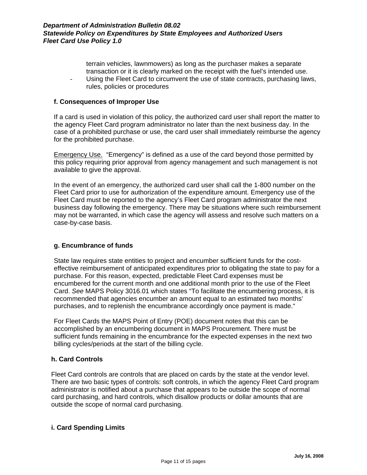terrain vehicles, lawnmowers) as long as the purchaser makes a separate transaction or it is clearly marked on the receipt with the fuel's intended use. Using the Fleet Card to circumvent the use of state contracts, purchasing laws, rules, policies or procedures

#### **f. Consequences of Improper Use**

If a card is used in violation of this policy, the authorized card user shall report the matter to the agency Fleet Card program administrator no later than the next business day. In the case of a prohibited purchase or use, the card user shall immediately reimburse the agency for the prohibited purchase.

Emergency Use. "Emergency" is defined as a use of the card beyond those permitted by this policy requiring prior approval from agency management and such management is not available to give the approval.

In the event of an emergency, the authorized card user shall call the 1-800 number on the Fleet Card prior to use for authorization of the expenditure amount. Emergency use of the Fleet Card must be reported to the agency's Fleet Card program administrator the next business day following the emergency. There may be situations where such reimbursement may not be warranted, in which case the agency will assess and resolve such matters on a case-by-case basis.

# **g. Encumbrance of funds**

State law requires state entities to project and encumber sufficient funds for the costeffective reimbursement of anticipated expenditures prior to obligating the state to pay for a purchase. For this reason, expected, predictable Fleet Card expenses must be encumbered for the current month and one additional month prior to the use of the Fleet Card. *See* MAPS Policy 3016.01 which states "To facilitate the encumbering process, it is recommended that agencies encumber an amount equal to an estimated two months' purchases, and to replenish the encumbrance accordingly once payment is made."

For Fleet Cards the MAPS Point of Entry (POE) document notes that this can be accomplished by an encumbering document in MAPS Procurement. There must be sufficient funds remaining in the encumbrance for the expected expenses in the next two billing cycles/periods at the start of the billing cycle.

#### **h. Card Controls**

Fleet Card controls are controls that are placed on cards by the state at the vendor level. There are two basic types of controls: soft controls, in which the agency Fleet Card program administrator is notified about a purchase that appears to be outside the scope of normal card purchasing, and hard controls, which disallow products or dollar amounts that are outside the scope of normal card purchasing.

# **i. Card Spending Limits**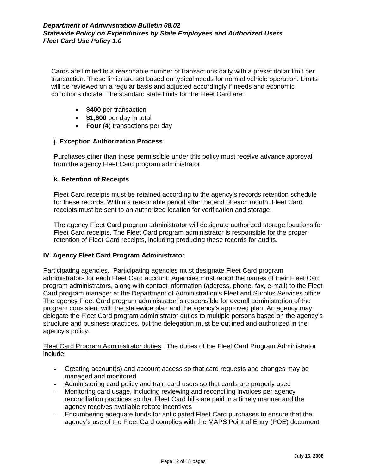Cards are limited to a reasonable number of transactions daily with a preset dollar limit per transaction. These limits are set based on typical needs for normal vehicle operation. Limits will be reviewed on a regular basis and adjusted accordingly if needs and economic conditions dictate. The standard state limits for the Fleet Card are:

- **\$400** per transaction
- **\$1,600** per day in total
- **Four** (4) transactions per day

#### **j. Exception Authorization Process**

Purchases other than those permissible under this policy must receive advance approval from the agency Fleet Card program administrator.

#### **k. Retention of Receipts**

Fleet Card receipts must be retained according to the agency's records retention schedule for these records. Within a reasonable period after the end of each month, Fleet Card receipts must be sent to an authorized location for verification and storage.

The agency Fleet Card program administrator will designate authorized storage locations for Fleet Card receipts. The Fleet Card program administrator is responsible for the proper retention of Fleet Card receipts, including producing these records for audits.

#### **IV. Agency Fleet Card Program Administrator**

Participating agencies. Participating agencies must designate Fleet Card program administrators for each Fleet Card account. Agencies must report the names of their Fleet Card program administrators, along with contact information (address, phone, fax, e-mail) to the Fleet Card program manager at the Department of Administration's Fleet and Surplus Services office. The agency Fleet Card program administrator is responsible for overall administration of the program consistent with the statewide plan and the agency's approved plan. An agency may delegate the Fleet Card program administrator duties to multiple persons based on the agency's structure and business practices, but the delegation must be outlined and authorized in the agency's policy.

Fleet Card Program Administrator duties. The duties of the Fleet Card Program Administrator include:

- Creating account(s) and account access so that card requests and changes may be managed and monitored
- Administering card policy and train card users so that cards are properly used
- Monitoring card usage, including reviewing and reconciling invoices per agency reconciliation practices so that Fleet Card bills are paid in a timely manner and the agency receives available rebate incentives
- Encumbering adequate funds for anticipated Fleet Card purchases to ensure that the agency's use of the Fleet Card complies with the MAPS Point of Entry (POE) document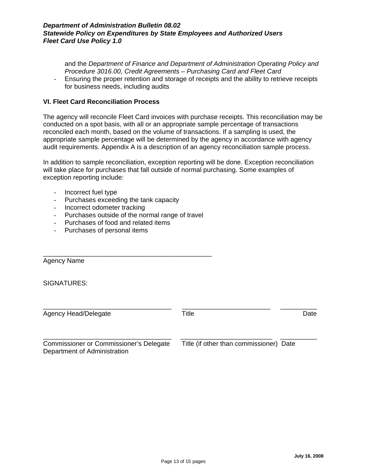and the *Department of Finance and Department of Administration Operating Policy and Procedure 3016.00, Credit Agreements – Purchasing Card and Fleet Card*

- Ensuring the proper retention and storage of receipts and the ability to retrieve receipts for business needs, including audits

#### **VI. Fleet Card Reconciliation Process**

The agency will reconcile Fleet Card invoices with purchase receipts. This reconciliation may be conducted on a spot basis, with all or an appropriate sample percentage of transactions reconciled each month, based on the volume of transactions. If a sampling is used, the appropriate sample percentage will be determined by the agency in accordance with agency audit requirements. Appendix A is a description of an agency reconciliation sample process.

In addition to sample reconciliation, exception reporting will be done. Exception reconciliation will take place for purchases that fall outside of normal purchasing. Some examples of exception reporting include:

- Incorrect fuel type
- Purchases exceeding the tank capacity
- Incorrect odometer tracking
- Purchases outside of the normal range of travel

\_\_\_\_\_\_\_\_\_\_\_\_\_\_\_\_\_\_\_\_\_\_\_\_\_\_\_\_\_\_\_\_\_\_\_\_\_\_\_\_\_\_\_\_\_\_

- Purchases of food and related items
- Purchases of personal items

Agency Name

SIGNATURES:

Agency Head/Delegate Title Title Contract Date

\_\_\_\_\_\_\_\_\_\_\_\_\_\_\_\_\_\_\_\_\_\_\_\_\_\_\_\_\_\_\_\_\_\_\_ \_\_\_\_\_\_\_\_\_\_\_\_\_\_\_\_\_\_\_\_\_\_\_\_ \_\_\_\_\_\_\_\_\_\_

\_\_\_\_\_\_\_\_\_\_\_\_\_\_\_\_\_\_\_\_\_\_\_\_\_\_\_\_\_\_\_\_\_\_\_ \_\_\_\_\_\_\_\_\_\_\_\_\_\_\_\_\_\_\_\_\_\_\_\_\_ \_\_\_\_\_\_\_\_\_\_ Commissioner or Commissioner's Delegate Title (if other than commissioner) Date Department of Administration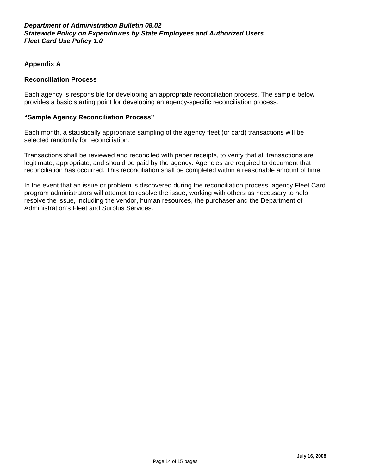# **Appendix A**

### **Reconciliation Process**

Each agency is responsible for developing an appropriate reconciliation process. The sample below provides a basic starting point for developing an agency-specific reconciliation process.

#### **"Sample Agency Reconciliation Process"**

Each month, a statistically appropriate sampling of the agency fleet (or card) transactions will be selected randomly for reconciliation.

Transactions shall be reviewed and reconciled with paper receipts, to verify that all transactions are legitimate, appropriate, and should be paid by the agency. Agencies are required to document that reconciliation has occurred. This reconciliation shall be completed within a reasonable amount of time.

In the event that an issue or problem is discovered during the reconciliation process, agency Fleet Card program administrators will attempt to resolve the issue, working with others as necessary to help resolve the issue, including the vendor, human resources, the purchaser and the Department of Administration's Fleet and Surplus Services.